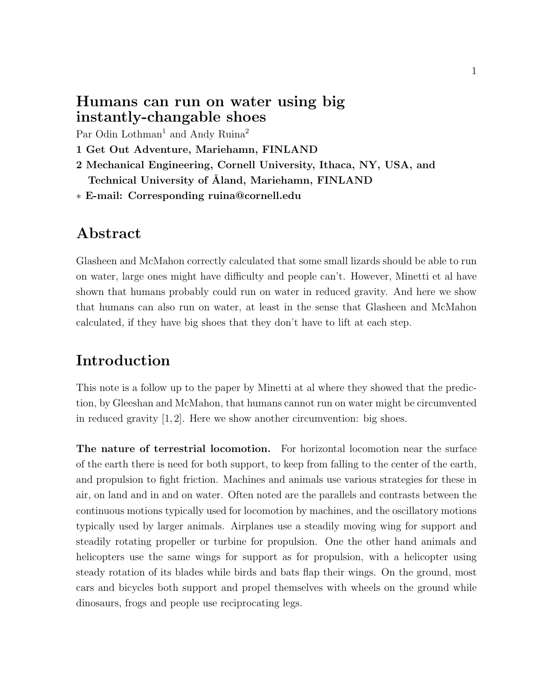### Humans can run on water using big instantly-changable shoes

Par Odin Lothman<sup>1</sup> and Andy Ruina<sup>2</sup>

- 1 Get Out Adventure, Mariehamn, FINLAND
- 2 Mechanical Engineering, Cornell University, Ithaca, NY, USA, and Technical University of Åland, Mariehamn, FINLAND
- ∗ E-mail: Corresponding ruina@cornell.edu

### Abstract

Glasheen and McMahon correctly calculated that some small lizards should be able to run on water, large ones might have difficulty and people can't. However, Minetti et al have shown that humans probably could run on water in reduced gravity. And here we show that humans can also run on water, at least in the sense that Glasheen and McMahon calculated, if they have big shoes that they don't have to lift at each step.

## Introduction

This note is a follow up to the paper by Minetti at al where they showed that the prediction, by Gleeshan and McMahon, that humans cannot run on water might be circumvented in reduced gravity  $[1, 2]$ . Here we show another circumvention: big shoes.

The nature of terrestrial locomotion. For horizontal locomotion near the surface of the earth there is need for both support, to keep from falling to the center of the earth, and propulsion to fight friction. Machines and animals use various strategies for these in air, on land and in and on water. Often noted are the parallels and contrasts between the continuous motions typically used for locomotion by machines, and the oscillatory motions typically used by larger animals. Airplanes use a steadily moving wing for support and steadily rotating propeller or turbine for propulsion. One the other hand animals and helicopters use the same wings for support as for propulsion, with a helicopter using steady rotation of its blades while birds and bats flap their wings. On the ground, most cars and bicycles both support and propel themselves with wheels on the ground while dinosaurs, frogs and people use reciprocating legs.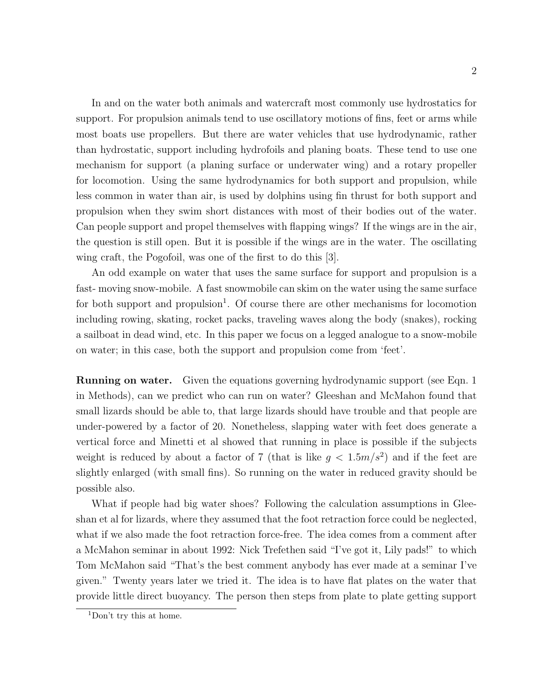In and on the water both animals and watercraft most commonly use hydrostatics for support. For propulsion animals tend to use oscillatory motions of fins, feet or arms while most boats use propellers. But there are water vehicles that use hydrodynamic, rather than hydrostatic, support including hydrofoils and planing boats. These tend to use one mechanism for support (a planing surface or underwater wing) and a rotary propeller for locomotion. Using the same hydrodynamics for both support and propulsion, while less common in water than air, is used by dolphins using fin thrust for both support and propulsion when they swim short distances with most of their bodies out of the water. Can people support and propel themselves with flapping wings? If the wings are in the air, the question is still open. But it is possible if the wings are in the water. The oscillating wing craft, the Pogofoil, was one of the first to do this [3].

An odd example on water that uses the same surface for support and propulsion is a fast- moving snow-mobile. A fast snowmobile can skim on the water using the same surface for both support and propulsion<sup>1</sup>. Of course there are other mechanisms for locomotion including rowing, skating, rocket packs, traveling waves along the body (snakes), rocking a sailboat in dead wind, etc. In this paper we focus on a legged analogue to a snow-mobile on water; in this case, both the support and propulsion come from 'feet'.

Running on water. Given the equations governing hydrodynamic support (see Eqn. 1 in Methods), can we predict who can run on water? Gleeshan and McMahon found that small lizards should be able to, that large lizards should have trouble and that people are under-powered by a factor of 20. Nonetheless, slapping water with feet does generate a vertical force and Minetti et al showed that running in place is possible if the subjects weight is reduced by about a factor of 7 (that is like  $g < 1.5 m/s^2$ ) and if the feet are slightly enlarged (with small fins). So running on the water in reduced gravity should be possible also.

What if people had big water shoes? Following the calculation assumptions in Gleeshan et al for lizards, where they assumed that the foot retraction force could be neglected, what if we also made the foot retraction force-free. The idea comes from a comment after a McMahon seminar in about 1992: Nick Trefethen said "I've got it, Lily pads!" to which Tom McMahon said "That's the best comment anybody has ever made at a seminar I've given." Twenty years later we tried it. The idea is to have flat plates on the water that provide little direct buoyancy. The person then steps from plate to plate getting support

<sup>1</sup>Don't try this at home.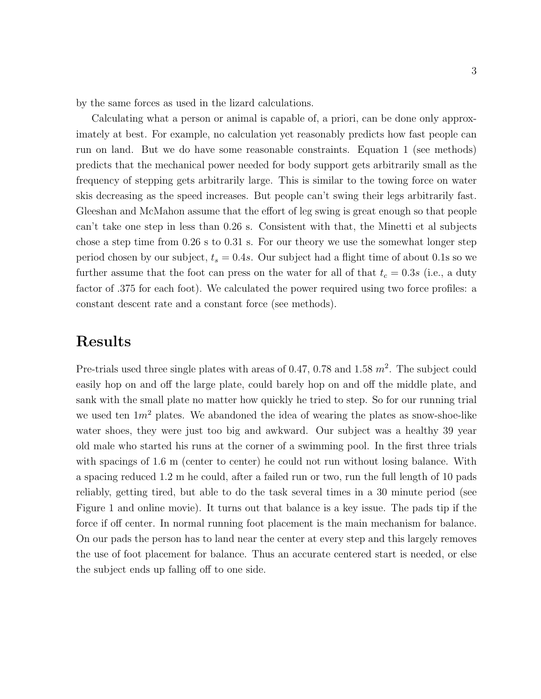by the same forces as used in the lizard calculations.

Calculating what a person or animal is capable of, a priori, can be done only approximately at best. For example, no calculation yet reasonably predicts how fast people can run on land. But we do have some reasonable constraints. Equation 1 (see methods) predicts that the mechanical power needed for body support gets arbitrarily small as the frequency of stepping gets arbitrarily large. This is similar to the towing force on water skis decreasing as the speed increases. But people can't swing their legs arbitrarily fast. Gleeshan and McMahon assume that the effort of leg swing is great enough so that people can't take one step in less than 0.26 s. Consistent with that, the Minetti et al subjects chose a step time from 0.26 s to 0.31 s. For our theory we use the somewhat longer step period chosen by our subject,  $t_s = 0.4s$ . Our subject had a flight time of about 0.1s so we further assume that the foot can press on the water for all of that  $t_c = 0.3s$  (i.e., a duty factor of .375 for each foot). We calculated the power required using two force profiles: a constant descent rate and a constant force (see methods).

### Results

Pre-trials used three single plates with areas of 0.47, 0.78 and 1.58  $m^2$ . The subject could easily hop on and off the large plate, could barely hop on and off the middle plate, and sank with the small plate no matter how quickly he tried to step. So for our running trial we used ten  $1m^2$  plates. We abandoned the idea of wearing the plates as snow-shoe-like water shoes, they were just too big and awkward. Our subject was a healthy 39 year old male who started his runs at the corner of a swimming pool. In the first three trials with spacings of 1.6 m (center to center) he could not run without losing balance. With a spacing reduced 1.2 m he could, after a failed run or two, run the full length of 10 pads reliably, getting tired, but able to do the task several times in a 30 minute period (see Figure 1 and online movie). It turns out that balance is a key issue. The pads tip if the force if off center. In normal running foot placement is the main mechanism for balance. On our pads the person has to land near the center at every step and this largely removes the use of foot placement for balance. Thus an accurate centered start is needed, or else the subject ends up falling off to one side.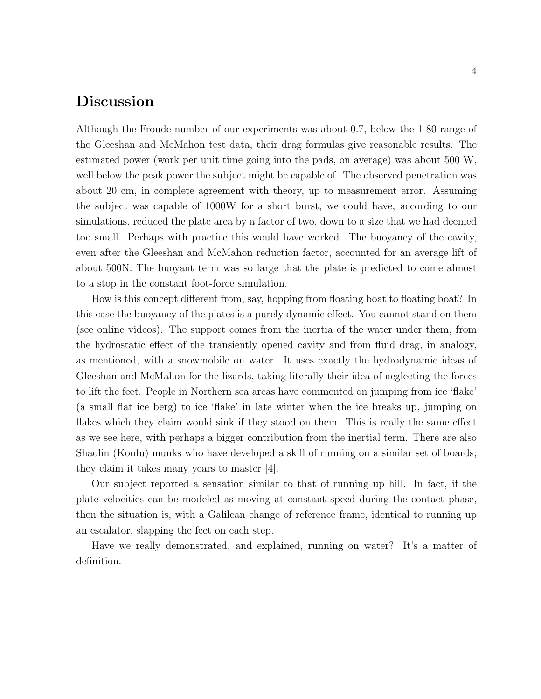# Discussion

Although the Froude number of our experiments was about 0.7, below the 1-80 range of the Gleeshan and McMahon test data, their drag formulas give reasonable results. The estimated power (work per unit time going into the pads, on average) was about 500 W, well below the peak power the subject might be capable of. The observed penetration was about 20 cm, in complete agreement with theory, up to measurement error. Assuming the subject was capable of 1000W for a short burst, we could have, according to our simulations, reduced the plate area by a factor of two, down to a size that we had deemed too small. Perhaps with practice this would have worked. The buoyancy of the cavity, even after the Gleeshan and McMahon reduction factor, accounted for an average lift of about 500N. The buoyant term was so large that the plate is predicted to come almost to a stop in the constant foot-force simulation.

How is this concept different from, say, hopping from floating boat to floating boat? In this case the buoyancy of the plates is a purely dynamic effect. You cannot stand on them (see online videos). The support comes from the inertia of the water under them, from the hydrostatic effect of the transiently opened cavity and from fluid drag, in analogy, as mentioned, with a snowmobile on water. It uses exactly the hydrodynamic ideas of Gleeshan and McMahon for the lizards, taking literally their idea of neglecting the forces to lift the feet. People in Northern sea areas have commented on jumping from ice 'flake' (a small flat ice berg) to ice 'flake' in late winter when the ice breaks up, jumping on flakes which they claim would sink if they stood on them. This is really the same effect as we see here, with perhaps a bigger contribution from the inertial term. There are also Shaolin (Konfu) munks who have developed a skill of running on a similar set of boards; they claim it takes many years to master [4].

Our subject reported a sensation similar to that of running up hill. In fact, if the plate velocities can be modeled as moving at constant speed during the contact phase, then the situation is, with a Galilean change of reference frame, identical to running up an escalator, slapping the feet on each step.

Have we really demonstrated, and explained, running on water? It's a matter of definition.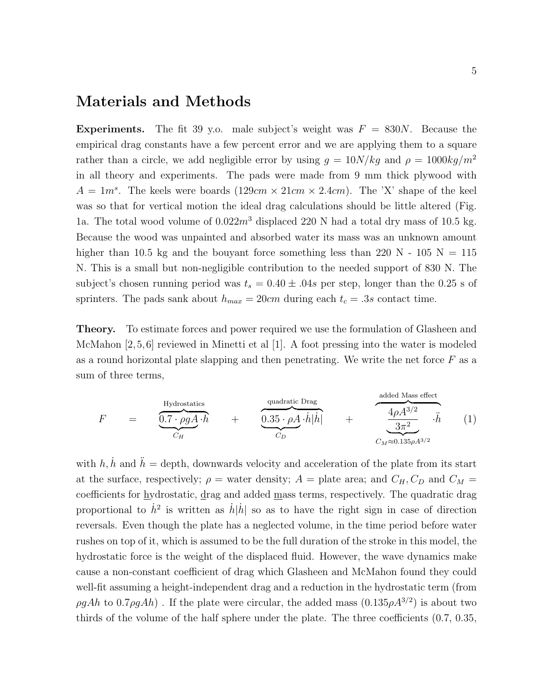### Materials and Methods

**Experiments.** The fit 39 y.o. male subject's weight was  $F = 830N$ . Because the empirical drag constants have a few percent error and we are applying them to a square rather than a circle, we add negligible error by using  $g = 10N/kg$  and  $\rho = 1000kg/m^2$ in all theory and experiments. The pads were made from 9 mm thick plywood with  $A = 1m<sup>s</sup>$ . The keels were boards  $(129cm \times 21cm \times 2.4cm)$ . The 'X' shape of the keel was so that for vertical motion the ideal drag calculations should be little altered (Fig. 1a. The total wood volume of  $0.022m^3$  displaced 220 N had a total dry mass of 10.5 kg. Because the wood was unpainted and absorbed water its mass was an unknown amount higher than 10.5 kg and the bouyant force something less than 220 N - 105 N = 115 N. This is a small but non-negligible contribution to the needed support of 830 N. The subject's chosen running period was  $t_s = 0.40 \pm .04s$  per step, longer than the 0.25 s of sprinters. The pads sank about  $h_{max} = 20 \text{cm}$  during each  $t_c = .3s$  contact time.

Theory. To estimate forces and power required we use the formulation of Glasheen and McMahon [2,5,6] reviewed in Minetti et al [1]. A foot pressing into the water is modeled as a round horizontal plate slapping and then penetrating. We write the net force  $F$  as a sum of three terms,

$$
F = \underbrace{\underbrace{0.7 \cdot \rho g A}_{C_H} \cdot h}_{C_H} + \underbrace{\underbrace{0.35 \cdot \rho A}_{C_D} \cdot h |h|}_{C_D} + \underbrace{\underbrace{4 \rho A^{3/2}}_{3\pi^2} \cdot h}_{C_M \approx 0.135 \rho A^{3/2}} \qquad (1)
$$

with h, h and  $h =$  depth, downwards velocity and acceleration of the plate from its start at the surface, respectively;  $\rho$  = water density;  $A$  = plate area; and  $C_H$ ,  $C_D$  and  $C_M$  = coefficients for hydrostatic, drag and added mass terms, respectively. The quadratic drag proportional to  $\dot{h}^2$  is written as  $\dot{h}|\dot{h}|$  so as to have the right sign in case of direction reversals. Even though the plate has a neglected volume, in the time period before water rushes on top of it, which is assumed to be the full duration of the stroke in this model, the hydrostatic force is the weight of the displaced fluid. However, the wave dynamics make cause a non-constant coefficient of drag which Glasheen and McMahon found they could well-fit assuming a height-independent drag and a reduction in the hydrostatic term (from  $\rho g Ah$  to 0.7 $\rho g Ah$ ). If the plate were circular, the added mass  $(0.135 \rho A^{3/2})$  is about two thirds of the volume of the half sphere under the plate. The three coefficients (0.7, 0.35,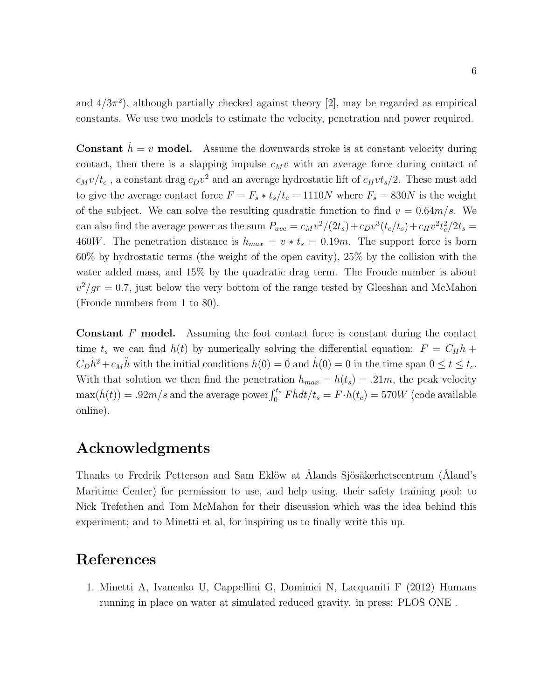and  $4/3\pi^2$ , although partially checked against theory [2], may be regarded as empirical constants. We use two models to estimate the velocity, penetration and power required.

**Constant**  $\dot{h} = v$  **model.** Assume the downwards stroke is at constant velocity during contact, then there is a slapping impulse  $c_Mv$  with an average force during contact of  $c_Mv/t_c$ , a constant drag  $c_Dv^2$  and an average hydrostatic lift of  $c_Hvt_s/2$ . These must add to give the average contact force  $F = F_s * t_s/t_c = 1110N$  where  $F_s = 830N$  is the weight of the subject. We can solve the resulting quadratic function to find  $v = 0.64m/s$ . We can also find the average power as the sum  $P_{ave} = c_M v^2/(2t_s) + c_D v^3 (t_c/t_s) + c_H v^2 t_c^2/2t_s =$ 460W. The penetration distance is  $h_{max} = v * t_s = 0.19m$ . The support force is born 60% by hydrostatic terms (the weight of the open cavity), 25% by the collision with the water added mass, and 15% by the quadratic drag term. The Froude number is about  $v^2/gr = 0.7$ , just below the very bottom of the range tested by Gleeshan and McMahon (Froude numbers from 1 to 80).

Constant F model. Assuming the foot contact force is constant during the contact time  $t_s$  we can find  $h(t)$  by numerically solving the differential equation:  $F = C_H h +$  $C_D\dot{h}^2 + c_M\ddot{h}$  with the initial conditions  $h(0) = 0$  and  $\dot{h}(0) = 0$  in the time span  $0 \le t \le t_c$ . With that solution we then find the penetration  $h_{max} = h(t_s) = .21m$ , the peak velocity  $\max(\dot{h}(t)) = .92m/s$  and the average power  $\int_0^{t_s} \dot{F} \dot{h} dt/t_s = F \cdot h(t_c) = 570W$  (code available online).

## Acknowledgments

Thanks to Fredrik Petterson and Sam Eklöw at Ålands Sjösäkerhetscentrum (Åland's Maritime Center) for permission to use, and help using, their safety training pool; to Nick Trefethen and Tom McMahon for their discussion which was the idea behind this experiment; and to Minetti et al, for inspiring us to finally write this up.

### References

1. Minetti A, Ivanenko U, Cappellini G, Dominici N, Lacquaniti F (2012) Humans running in place on water at simulated reduced gravity. in press: PLOS ONE .